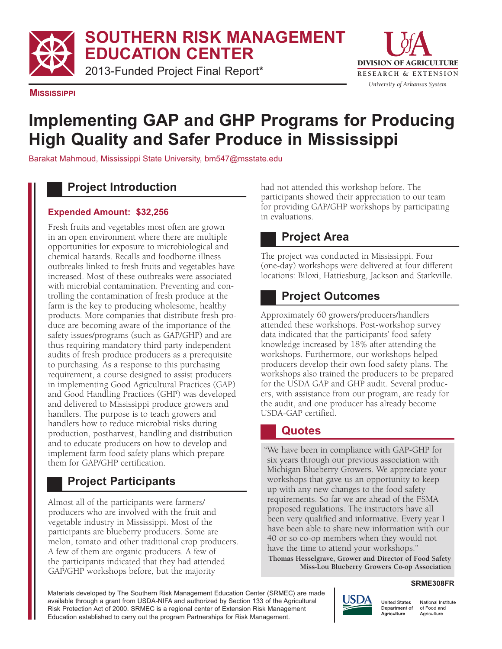**SOUTHERN RISK MANAGEMENT EDUCATION CENTER**

2013-Funded Project Final Report\*



**MISSISSIPPI**

# **Implementing GAP and GHP Programs for Producing High Quality and Safer Produce in Mississippi**

Barakat Mahmoud, Mississippi State University, bm547@msstate.edu

# **Project Introduction**

### **Expended Amount: \$32,256**

Fresh fruits and vegetables most often are grown in an open environment where there are multiple opportunities for exposure to microbiological and chemical hazards. Recalls and foodborne illness outbreaks linked to fresh fruits and vegetables have increased. Most of these outbreaks were associated with microbial contamination. Preventing and controlling the contamination of fresh produce at the farm is the key to producing wholesome, healthy products. More companies that distribute fresh produce are becoming aware of the importance of the safety issues/programs (such as GAP/GHP) and are thus requiring mandatory third party independent audits of fresh produce producers as a prerequisite to purchasing. As a response to this purchasing requirement, a course designed to assist producers in implementing Good Agricultural Practices (GAP) and Good Handling Practices (GHP) was developed and delivered to Mississippi produce growers and handlers. The purpose is to teach growers and handlers how to reduce microbial risks during production, postharvest, handling and distribution and to educate producers on how to develop and implement farm food safety plans which prepare them for GAP/GHP certification.

# **Project Participants**

Almost all of the participants were farmers/ producers who are involved with the fruit and vegetable industry in Mississippi. Most of the participants are blueberry producers. Some are melon, tomato and other traditional crop producers. A few of them are organic producers. A few of the participants indicated that they had attended GAP/GHP workshops before, but the majority

had not attended this workshop before. The participants showed their appreciation to our team for providing GAP/GHP workshops by participating in evaluations.

# **Project Area**

The project was conducted in Mississippi. Four (one-day) workshops were delivered at four different locations: Biloxi, Hattiesburg, Jackson and Starkville.

# **Project Outcomes**

Approximately 60 growers/producers/handlers attended these workshops. Post-workshop survey data indicated that the participants' food safety knowledge increased by 18% after attending the workshops. Furthermore, our workshops helped producers develop their own food safety plans. The workshops also trained the producers to be prepared for the USDA GAP and GHP audit. Several producers, with assistance from our program, are ready for the audit, and one producer has already become USDA-GAP certified.

## **Quotes**

"We have been in compliance with GAP-GHP for six years through our previous association with Michigan Blueberry Growers. We appreciate your workshops that gave us an opportunity to keep up with any new changes to the food safety requirements. So far we are ahead of the FSMA proposed regulations. The instructors have all been very qualified and informative. Every year I have been able to share new information with our 40 or so co-op members when they would not have the time to attend your workshops."

**Thomas Hesselgrave, Grower and Director of Food Safety Miss-Lou Blueberry Growers Co-op Association**

#### **SRME308FR**

Materials developed by The Southern Risk Management Education Center (SRMEC) are made available through a grant from USDA-NIFA and authorized by Section 133 of the Agricultural Risk Protection Act of 2000. SRMEC is a regional center of Extension Risk Management Education established to carry out the program Partnerships for Risk Management.



National Institute of Food and Agriculture